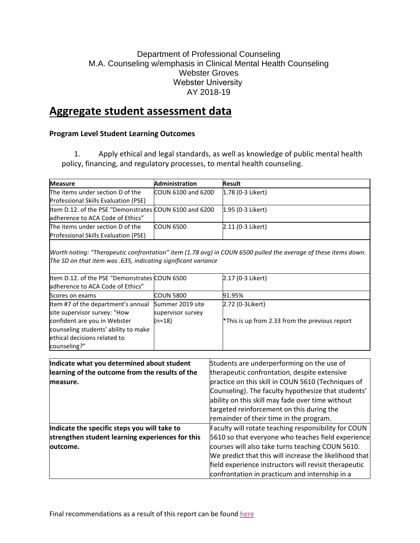### Department of Professional Counseling M.A. Counseling w/emphasis in Clinical Mental Health Counseling Webster Groves Webster University  AY 2018-19

# **Aggregate student assessment data**

### **Program Level Student Learning Outcomes**

1. Apply ethical and legal standards, as well as knowledge of public mental health policy, financing, and regulatory processes, to mental health counseling.

| <b>Measure</b>                                         | <b>Administration</b> | <b>Result</b>       |
|--------------------------------------------------------|-----------------------|---------------------|
| The items under section D of the                       | COUN 6100 and 6200    | $1.78$ (0-3 Likert) |
| <b>Professional Skills Evaluation (PSE)</b>            |                       |                     |
| Item D.12. of the PSE "Demonstrates COUN 6100 and 6200 |                       | 1.95 (0-3 Likert)   |
| adherence to ACA Code of Ethics"                       |                       |                     |
| The items under section D of the                       | <b>COUN 6500</b>      | 2.11 (0-3 Likert)   |
| Professional Skills Evaluation (PSE)                   |                       |                     |

*Worth noting: "Therapeutic confrontation" item (1.78 avg) in COUN 6500 pulled the average of these items down. The SD on that item was .635, indicating significant variance*

| Item D.12. of the PSE "Demonstrates COUN 6500 |                   | 2.17 (0-3 Likert)                              |
|-----------------------------------------------|-------------------|------------------------------------------------|
| adherence to ACA Code of Ethics"              |                   |                                                |
| Scores on exams                               | <b>COUN 5800</b>  | 91.95%                                         |
| Item #7 of the department's annual            | Summer 2019 site  | 2.72 (0-3Likert)                               |
| site supervisor survey: "How                  | supervisor survey |                                                |
| confident are you in Webster                  | (n=18)            | *This is up from 2.33 from the previous report |
| counseling students' ability to make          |                   |                                                |
| ethical decisions related to                  |                   |                                                |
| counseling?"                                  |                   |                                                |

| Indicate what you determined about student       | Students are underperforming on the use of             |
|--------------------------------------------------|--------------------------------------------------------|
| learning of the outcome from the results of the  | therapeutic confrontation, despite extensive           |
| measure.                                         | practice on this skill in COUN 5610 (Techniques of     |
|                                                  | Counseling). The faculty hypothesize that students'    |
|                                                  | ability on this skill may fade over time without       |
|                                                  | targeted reinforcement on this during the              |
|                                                  | remainder of their time in the program.                |
| Indicate the specific steps you will take to     | Faculty will rotate teaching responsibility for COUN   |
| strengthen student learning experiences for this | 5610 so that everyone who teaches field experience     |
| outcome.                                         | courses will also take turns teaching COUN 5610.       |
|                                                  | We predict that this will increase the likelihood that |
|                                                  | field experience instructors will revisit therapeutic  |
|                                                  | confrontation in practicum and internship in a         |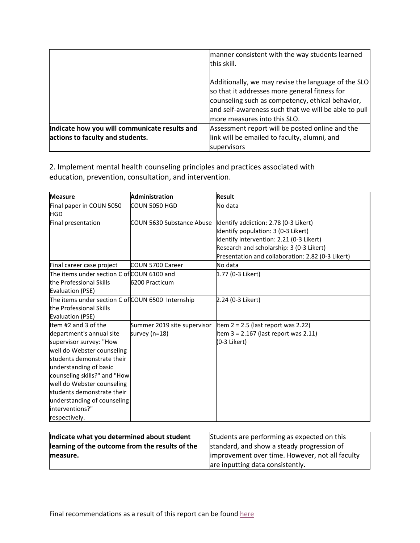|                                                     | manner consistent with the way students learned      |  |
|-----------------------------------------------------|------------------------------------------------------|--|
|                                                     | this skill.                                          |  |
|                                                     |                                                      |  |
| Additionally, we may revise the language of the SLO |                                                      |  |
|                                                     | so that it addresses more general fitness for        |  |
|                                                     | counseling such as competency, ethical behavior,     |  |
|                                                     | and self-awareness such that we will be able to pull |  |
|                                                     | more measures into this SLO.                         |  |
| Indicate how you will communicate results and       | Assessment report will be posted online and the      |  |
| actions to faculty and students.                    | link will be emailed to faculty, alumni, and         |  |
|                                                     | supervisors                                          |  |

2. Implement mental health counseling principles and practices associated with education, prevention, consultation, and intervention.

| <b>Measure</b>                                                                                                                                                                                                                                                                                                                   | <b>Administration</b>                        | <b>Result</b>                                                                                                                                                                                                             |
|----------------------------------------------------------------------------------------------------------------------------------------------------------------------------------------------------------------------------------------------------------------------------------------------------------------------------------|----------------------------------------------|---------------------------------------------------------------------------------------------------------------------------------------------------------------------------------------------------------------------------|
| Final paper in COUN 5050<br><b>HGD</b>                                                                                                                                                                                                                                                                                           | COUN 5050 HGD                                | No data                                                                                                                                                                                                                   |
| Final presentation                                                                                                                                                                                                                                                                                                               | COUN 5630 Substance Abuse                    | Identify addiction: 2.78 (0-3 Likert)<br>Identify population: 3 (0-3 Likert)<br>Identify intervention: 2.21 (0-3 Likert)<br>Research and scholarship: 3 (0-3 Likert)<br>Presentation and collaboration: 2.82 (0-3 Likert) |
| Final career case project                                                                                                                                                                                                                                                                                                        | <b>COUN 5700 Career</b>                      | No data                                                                                                                                                                                                                   |
| The items under section C of COUN 6100 and<br>the Professional Skills<br><b>Evaluation (PSE)</b>                                                                                                                                                                                                                                 | 6200 Practicum                               | 1.77 (0-3 Likert)                                                                                                                                                                                                         |
| The items under section C of COUN 6500 Internship<br>the Professional Skills<br><b>Evaluation (PSE)</b>                                                                                                                                                                                                                          |                                              | 2.24 (0-3 Likert)                                                                                                                                                                                                         |
| Item #2 and 3 of the<br>department's annual site<br>supervisor survey: "How<br>well do Webster counseling<br>students demonstrate their<br>understanding of basic<br>counseling skills?" and "How<br>well do Webster counseling<br>students demonstrate their<br>understanding of counseling<br>interventions?"<br>respectively. | Summer 2019 site supervisor<br>survey (n=18) | Item $2 = 2.5$ (last report was 2.22)<br>Item $3 = 2.167$ (last report was 2.11)<br>(0-3 Likert)                                                                                                                          |

| Indicate what you determined about student      | Students are performing as expected on this     |
|-------------------------------------------------|-------------------------------------------------|
| learning of the outcome from the results of the | standard, and show a steady progression of      |
| measure.                                        | improvement over time. However, not all faculty |
|                                                 | are inputting data consistently.                |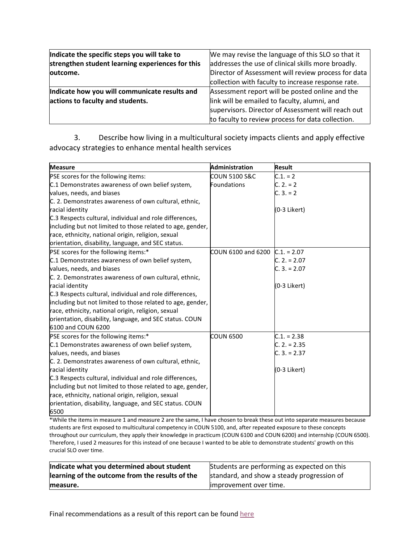| Indicate the specific steps you will take to     | We may revise the language of this SLO so that it   |
|--------------------------------------------------|-----------------------------------------------------|
| strengthen student learning experiences for this | addresses the use of clinical skills more broadly.  |
| loutcome.                                        | Director of Assessment will review process for data |
|                                                  | collection with faculty to increase response rate.  |
| Indicate how you will communicate results and    | Assessment report will be posted online and the     |
| actions to faculty and students.                 | link will be emailed to faculty, alumni, and        |
|                                                  | supervisors. Director of Assessment will reach out  |
|                                                  | to faculty to review process for data collection.   |

3. Describe how living in a multicultural society impacts clients and apply effective advocacy strategies to enhance mental health services

| <b>Measure</b>                                             | <b>Administration</b> | <b>Result</b>  |
|------------------------------------------------------------|-----------------------|----------------|
| PSE scores for the following items:                        | COUN 5100 S&C         | $C.1. = 2$     |
| C.1 Demonstrates awareness of own belief system,           | <b>Foundations</b>    | $C. 2. = 2$    |
| values, needs, and biases                                  |                       | $C. 3. = 2$    |
| C. 2. Demonstrates awareness of own cultural, ethnic,      |                       |                |
| racial identity                                            |                       | (0-3 Likert)   |
| C.3 Respects cultural, individual and role differences,    |                       |                |
| including but not limited to those related to age, gender, |                       |                |
| race, ethnicity, national origin, religion, sexual         |                       |                |
| orientation, disability, language, and SEC status.         |                       |                |
| PSE scores for the following items:*                       | COUN 6100 and 6200    | $C.1 = 2.07$   |
| C.1 Demonstrates awareness of own belief system,           |                       | $C. 2. = 2.07$ |
| values, needs, and biases                                  |                       | $C. 3. = 2.07$ |
| C. 2. Demonstrates awareness of own cultural, ethnic,      |                       |                |
| racial identity                                            |                       | (0-3 Likert)   |
| C.3 Respects cultural, individual and role differences,    |                       |                |
| including but not limited to those related to age, gender, |                       |                |
| race, ethnicity, national origin, religion, sexual         |                       |                |
| orientation, disability, language, and SEC status. COUN    |                       |                |
| 6100 and COUN 6200                                         |                       |                |
| PSE scores for the following items:*                       | <b>COUN 6500</b>      | $C.1 = 2.38$   |
| C.1 Demonstrates awareness of own belief system,           |                       | $C. 2. = 2.35$ |
| values, needs, and biases                                  |                       | $C. 3. = 2.37$ |
| C. 2. Demonstrates awareness of own cultural, ethnic,      |                       |                |
| racial identity                                            |                       | (0-3 Likert)   |
| C.3 Respects cultural, individual and role differences,    |                       |                |
| including but not limited to those related to age, gender, |                       |                |
| race, ethnicity, national origin, religion, sexual         |                       |                |
| orientation, disability, language, and SEC status. COUN    |                       |                |
| 6500                                                       |                       |                |

\*While the items in measure 1 and measure 2 are the same, I have chosen to break these out into separate measures because students are first exposed to multicultural competency in COUN 5100, and, after repeated exposure to these concepts throughout our curriculum, they apply their knowledge in practicum (COUN 6100 and COUN 6200) and internship (COUN 6500). Therefore, I used 2 measures for this instead of one because I wanted to be able to demonstrate students' growth on this crucial SLO over time.

| Indicate what you determined about student      | Students are performing as expected on this |
|-------------------------------------------------|---------------------------------------------|
| learning of the outcome from the results of the | standard, and show a steady progression of  |
| measure.                                        | limprovement over time.                     |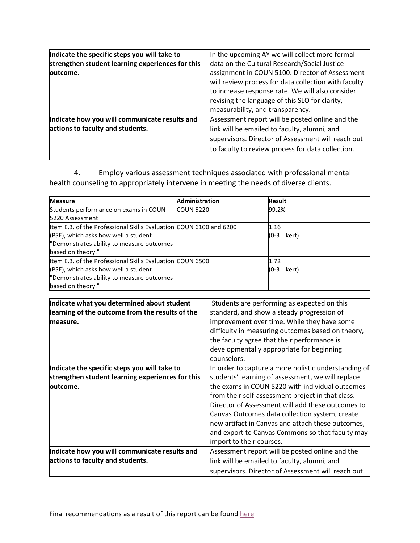| Indicate the specific steps you will take to     | In the upcoming AY we will collect more formal       |
|--------------------------------------------------|------------------------------------------------------|
| strengthen student learning experiences for this | data on the Cultural Research/Social Justice         |
| outcome.                                         | assignment in COUN 5100. Director of Assessment      |
|                                                  | will review process for data collection with faculty |
|                                                  | to increase response rate. We will also consider     |
|                                                  | revising the language of this SLO for clarity,       |
|                                                  | measurability, and transparency.                     |
| Indicate how you will communicate results and    | Assessment report will be posted online and the      |
| actions to faculty and students.                 | link will be emailed to faculty, alumni, and         |
|                                                  | supervisors. Director of Assessment will reach out   |
|                                                  | to faculty to review process for data collection.    |
|                                                  |                                                      |

4. Employ various assessment techniques associated with professional mental health counseling to appropriately intervene in meeting the needs of diverse clients.

| <b>Measure</b>                                                                                                                                                               | Administration   | <b>Result</b>        |
|------------------------------------------------------------------------------------------------------------------------------------------------------------------------------|------------------|----------------------|
| Students performance on exams in COUN<br>5220 Assessment                                                                                                                     | <b>COUN 5220</b> | 99.2%                |
| Item E.3. of the Professional Skills Evaluation COUN 6100 and 6200<br>(PSE), which asks how well a student<br>"Demonstrates ability to measure outcomes<br>based on theory." |                  | 1.16<br>(0-3 Likert) |
| Item E.3. of the Professional Skills Evaluation COUN 6500<br>(PSE), which asks how well a student<br>"Demonstrates ability to measure outcomes<br>based on theory."          |                  | 1.72<br>(0-3 Likert) |

| Indicate what you determined about student<br>learning of the outcome from the results of the<br>measure.     | Students are performing as expected on this<br>standard, and show a steady progression of<br>improvement over time. While they have some<br>difficulty in measuring outcomes based on theory,<br>the faculty agree that their performance is<br>developmentally appropriate for beginning<br>counselors.                                                                                                                                                      |
|---------------------------------------------------------------------------------------------------------------|---------------------------------------------------------------------------------------------------------------------------------------------------------------------------------------------------------------------------------------------------------------------------------------------------------------------------------------------------------------------------------------------------------------------------------------------------------------|
| Indicate the specific steps you will take to<br>strengthen student learning experiences for this<br>loutcome. | In order to capture a more holistic understanding of<br>students' learning of assessment, we will replace<br>the exams in COUN 5220 with individual outcomes<br>from their self-assessment project in that class.<br>Director of Assessment will add these outcomes to<br>Canvas Outcomes data collection system, create<br>new artifact in Canvas and attach these outcomes,<br>and export to Canvas Commons so that faculty may<br>import to their courses. |
| Indicate how you will communicate results and<br>actions to faculty and students.                             | Assessment report will be posted online and the<br>link will be emailed to faculty, alumni, and<br>supervisors. Director of Assessment will reach out                                                                                                                                                                                                                                                                                                         |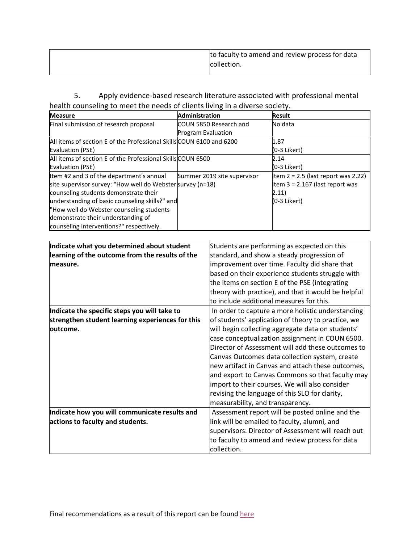| to faculty to amend and review process for data |
|-------------------------------------------------|
| collection.                                     |
|                                                 |

5. Apply evidence-based research literature associated with professional mental health counseling to meet the needs of clients living in a diverse society. 

| <b>Measure</b>                                                       | <b>Administration</b>       | <b>Result</b>                         |
|----------------------------------------------------------------------|-----------------------------|---------------------------------------|
| Final submission of research proposal                                | COUN 5850 Research and      | No data                               |
|                                                                      | <b>Program Evaluation</b>   |                                       |
| All items of section E of the Professional Skills COUN 6100 and 6200 |                             | 1.87                                  |
| Evaluation (PSE)                                                     |                             | (0-3 Likert)                          |
| All items of section E of the Professional Skills COUN 6500          |                             | 2.14                                  |
| Evaluation (PSE)                                                     |                             | (0-3 Likert)                          |
| Item #2 and 3 of the department's annual                             | Summer 2019 site supervisor | Item $2 = 2.5$ (last report was 2.22) |
| site supervisor survey: "How well do Webster survey (n=18)           |                             | Item $3 = 2.167$ (last report was     |
| counseling students demonstrate their                                |                             | 2.11)                                 |
| understanding of basic counseling skills?" and                       |                             | (0-3 Likert)                          |
| "How well do Webster counseling students                             |                             |                                       |
| demonstrate their understanding of                                   |                             |                                       |
| counseling interventions?" respectively.                             |                             |                                       |

| Students are performing as expected on this         |
|-----------------------------------------------------|
| standard, and show a steady progression of          |
| improvement over time. Faculty did share that       |
| based on their experience students struggle with    |
| the items on section E of the PSE (integrating      |
| theory with practice), and that it would be helpful |
| to include additional measures for this.            |
| In order to capture a more holistic understanding   |
| of students' application of theory to practice, we  |
| will begin collecting aggregate data on students'   |
| case conceptualization assignment in COUN 6500.     |
| Director of Assessment will add these outcomes to   |
| Canvas Outcomes data collection system, create      |
| new artifact in Canvas and attach these outcomes,   |
| and export to Canvas Commons so that faculty may    |
| import to their courses. We will also consider      |
| revising the language of this SLO for clarity,      |
| measurability, and transparency.                    |
| Assessment report will be posted online and the     |
| link will be emailed to faculty, alumni, and        |
| supervisors. Director of Assessment will reach out  |
| to faculty to amend and review process for data     |
| collection.                                         |
|                                                     |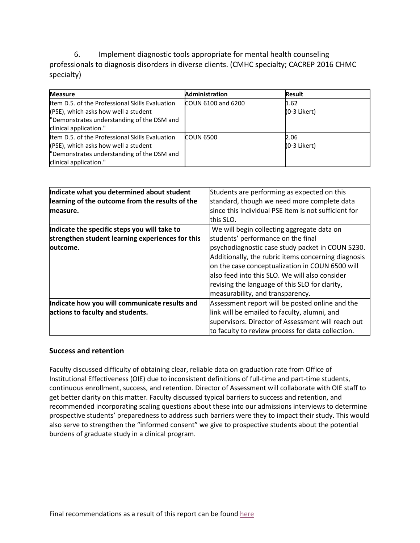6. Implement diagnostic tools appropriate for mental health counseling professionals to diagnosis disorders in diverse clients. (CMHC specialty; CACREP 2016 CHMC specialty)

| <b>Measure</b>                                  | <b>Administration</b>     | <b>Result</b>  |
|-------------------------------------------------|---------------------------|----------------|
| Item D.5. of the Professional Skills Evaluation | <b>COUN 6100 and 6200</b> | 1.62           |
| (PSE), which asks how well a student            |                           | $(0-3$ Likert) |
| "Demonstrates understanding of the DSM and      |                           |                |
| clinical application."                          |                           |                |
| Item D.5, of the Professional Skills Evaluation | <b>COUN 6500</b>          | 2.06           |
| (PSE), which asks how well a student            |                           | $(0-3$ Likert) |
| "Demonstrates understanding of the DSM and      |                           |                |
| clinical application."                          |                           |                |

| Indicate what you determined about student       | Students are performing as expected on this          |
|--------------------------------------------------|------------------------------------------------------|
| learning of the outcome from the results of the  | standard, though we need more complete data          |
| measure.                                         | since this individual PSE item is not sufficient for |
|                                                  | this SLO.                                            |
| Indicate the specific steps you will take to     | We will begin collecting aggregate data on           |
| strengthen student learning experiences for this | students' performance on the final                   |
| loutcome.                                        | psychodiagnostic case study packet in COUN 5230.     |
|                                                  | Additionally, the rubric items concerning diagnosis  |
|                                                  | on the case conceptualization in COUN 6500 will      |
|                                                  | lalso feed into this SLO. We will also consider      |
|                                                  | revising the language of this SLO for clarity,       |
|                                                  | measurability, and transparency.                     |
| Indicate how you will communicate results and    | Assessment report will be posted online and the      |
| actions to faculty and students.                 | link will be emailed to faculty, alumni, and         |
|                                                  | supervisors. Director of Assessment will reach out   |
|                                                  | to faculty to review process for data collection.    |

#### **Success and retention**

Faculty discussed difficulty of obtaining clear, reliable data on graduation rate from Office of Institutional Effectiveness (OIE) due to inconsistent definitions of full-time and part-time students, continuous enrollment, success, and retention. Director of Assessment will collaborate with OIE staff to get better clarity on this matter. Faculty discussed typical barriers to success and retention, and recommended incorporating scaling questions about these into our admissions interviews to determine prospective students' preparedness to address such barriers were they to impact their study. This would also serve to strengthen the "informed consent" we give to prospective students about the potential burdens of graduate study in a clinical program.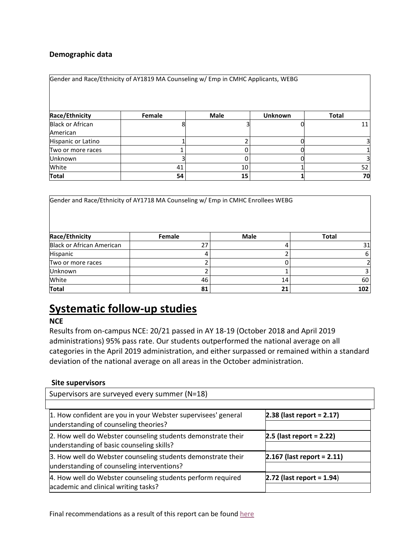### **Demographic data**

| Gender and Race/Ethnicity of AY1819 MA Counseling w/ Emp in CMHC Applicants, WEBG |        |             |                |              |  |
|-----------------------------------------------------------------------------------|--------|-------------|----------------|--------------|--|
| Race/Ethnicity                                                                    | Female | <b>Male</b> | <b>Unknown</b> | <b>Total</b> |  |
| <b>Black or African</b><br>American                                               |        |             |                | 11           |  |
| Hispanic or Latino                                                                |        |             |                | 31           |  |
| Two or more races                                                                 |        |             |                |              |  |
| <b>Unknown</b>                                                                    |        |             |                |              |  |
| White                                                                             | 41     | 10          |                | 52           |  |
| <b>Total</b>                                                                      | 54     | 15          |                | 70           |  |

| Gender and Race/Ethnicity of AY1718 MA Counseling w/ Emp in CMHC Enrollees WEBG |        |      |              |  |  |
|---------------------------------------------------------------------------------|--------|------|--------------|--|--|
| Race/Ethnicity                                                                  | Female | Male | <b>Total</b> |  |  |
| <b>Black or African American</b>                                                | 27     |      | 31           |  |  |
| Hispanic                                                                        | 4      |      | 6            |  |  |
| Two or more races                                                               |        |      |              |  |  |
| <b>Unknown</b>                                                                  | ∍      |      |              |  |  |
| White                                                                           | 46     | 14   | 60           |  |  |
| Total                                                                           | 81     | 21   | 102          |  |  |

# **Systematic follow-up studies**

### **NCE**

Results from on-campus NCE: 20/21 passed in AY 18-19 (October 2018 and April 2019 administrations) 95% pass rate. Our students outperformed the national average on all categories in the April 2019 administration, and either surpassed or remained within a standard deviation of the national average on all areas in the October administration.

#### **Site supervisors**

| Supervisors are surveyed every summer (N=18)                                                               |                              |  |  |  |  |
|------------------------------------------------------------------------------------------------------------|------------------------------|--|--|--|--|
|                                                                                                            |                              |  |  |  |  |
| 1. How confident are you in your Webster supervisees' general<br>understanding of counseling theories?     | $2.38$ (last report = 2.17)  |  |  |  |  |
| 2. How well do Webster counseling students demonstrate their<br>understanding of basic counseling skills?  | $2.5$ (last report = 2.22)   |  |  |  |  |
| 3. How well do Webster counseling students demonstrate their<br>understanding of counseling interventions? | $2.167$ (last report = 2.11) |  |  |  |  |
| 4. How well do Webster counseling students perform required<br>academic and clinical writing tasks?        | $2.72$ (last report = 1.94)  |  |  |  |  |

Final recommendations as a result of this report can be found [here](#page-10-0)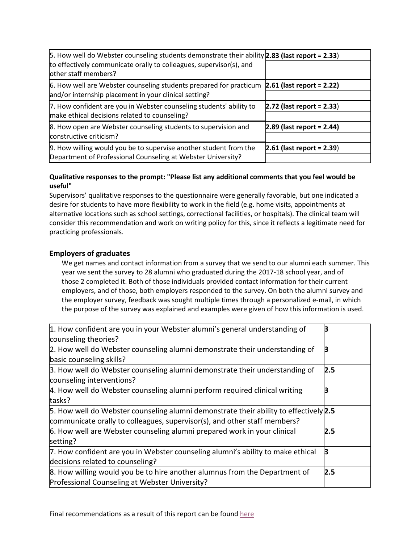| 5. How well do Webster counseling students demonstrate their ability 2.83 (last report = 2.33)                                    |                             |
|-----------------------------------------------------------------------------------------------------------------------------------|-----------------------------|
| to effectively communicate orally to colleagues, supervisor(s), and<br>other staff members?                                       |                             |
| 6. How well are Webster counseling students prepared for practicum<br>and/or internship placement in your clinical setting?       | $2.61$ (last report = 2.22) |
| 7. How confident are you in Webster counseling students' ability to<br>make ethical decisions related to counseling?              | $2.72$ (last report = 2.33) |
| 8. How open are Webster counseling students to supervision and<br>constructive criticism?                                         | $2.89$ (last report = 2.44) |
| 9. How willing would you be to supervise another student from the<br>Department of Professional Counseling at Webster University? | $2.61$ (last report = 2.39) |

### **Qualitative responses to the prompt: "Please list any additional comments that you feel would be useful"**

Supervisors' qualitative responses to the questionnaire were generally favorable, but one indicated a desire for students to have more flexibility to work in the field (e.g. home visits, appointments at alternative locations such as school settings, correctional facilities, or hospitals). The clinical team will consider this recommendation and work on writing policy for this, since it reflects a legitimate need for practicing professionals.

### **Employers of graduates**

We get names and contact information from a survey that we send to our alumni each summer. This year we sent the survey to 28 alumni who graduated during the 2017-18 school year, and of those 2 completed it. Both of those individuals provided contact information for their current employers, and of those, both employers responded to the survey. On both the alumni survey and the employer survey, feedback was sought multiple times through a personalized e-mail, in which the purpose of the survey was explained and examples were given of how this information is used. 

| 1. How confident are you in your Webster alumni's general understanding of                               |     |
|----------------------------------------------------------------------------------------------------------|-----|
| counseling theories?                                                                                     |     |
| 2. How well do Webster counseling alumni demonstrate their understanding of                              | В   |
| basic counseling skills?                                                                                 |     |
| 3. How well do Webster counseling alumni demonstrate their understanding of<br>counseling interventions? | 2.5 |
|                                                                                                          |     |
| 4. How well do Webster counseling alumni perform required clinical writing                               |     |
| tasks?                                                                                                   |     |
| 5. How well do Webster counseling alumni demonstrate their ability to effectively $2.5$                  |     |
| communicate orally to colleagues, supervisor(s), and other staff members?                                |     |
| 6. How well are Webster counseling alumni prepared work in your clinical                                 | 2.5 |
| setting?                                                                                                 |     |
| 7. How confident are you in Webster counseling alumni's ability to make ethical                          | В   |
| decisions related to counseling?                                                                         |     |
| 8. How willing would you be to hire another alumnus from the Department of                               | 2.5 |
| Professional Counseling at Webster University?                                                           |     |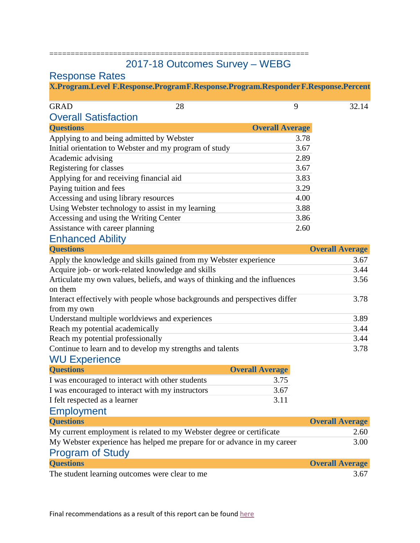### ============================================================= 2017-18 Outcomes Survey – WEBG

## Response Rates

| X.Program.Level F.Response.ProgramF.Response.Program.Responder F.Response.Percent |  |  |  |  |
|-----------------------------------------------------------------------------------|--|--|--|--|
|                                                                                   |  |  |  |  |

| <b>Overall Satisfaction</b><br><b>Overall Average</b><br><b>Questions</b><br>Applying to and being admitted by Webster<br>3.78<br>Initial orientation to Webster and my program of study<br>3.67<br>2.89<br>Academic advising<br>Registering for classes<br>3.67<br>Applying for and receiving financial aid<br>3.83<br>Paying tuition and fees<br>3.29<br>Accessing and using library resources<br>4.00<br>Using Webster technology to assist in my learning<br>3.88<br>Accessing and using the Writing Center<br>3.86<br>Assistance with career planning<br>2.60 | <b>GRAD</b> | 28 | 9 | 32.14 |
|--------------------------------------------------------------------------------------------------------------------------------------------------------------------------------------------------------------------------------------------------------------------------------------------------------------------------------------------------------------------------------------------------------------------------------------------------------------------------------------------------------------------------------------------------------------------|-------------|----|---|-------|
|                                                                                                                                                                                                                                                                                                                                                                                                                                                                                                                                                                    |             |    |   |       |
|                                                                                                                                                                                                                                                                                                                                                                                                                                                                                                                                                                    |             |    |   |       |
|                                                                                                                                                                                                                                                                                                                                                                                                                                                                                                                                                                    |             |    |   |       |
|                                                                                                                                                                                                                                                                                                                                                                                                                                                                                                                                                                    |             |    |   |       |
|                                                                                                                                                                                                                                                                                                                                                                                                                                                                                                                                                                    |             |    |   |       |
|                                                                                                                                                                                                                                                                                                                                                                                                                                                                                                                                                                    |             |    |   |       |
|                                                                                                                                                                                                                                                                                                                                                                                                                                                                                                                                                                    |             |    |   |       |
|                                                                                                                                                                                                                                                                                                                                                                                                                                                                                                                                                                    |             |    |   |       |
|                                                                                                                                                                                                                                                                                                                                                                                                                                                                                                                                                                    |             |    |   |       |
|                                                                                                                                                                                                                                                                                                                                                                                                                                                                                                                                                                    |             |    |   |       |
|                                                                                                                                                                                                                                                                                                                                                                                                                                                                                                                                                                    |             |    |   |       |
|                                                                                                                                                                                                                                                                                                                                                                                                                                                                                                                                                                    |             |    |   |       |

## Enhanced Ability

| <b>Questions</b>                                                           | <b>Overall Average</b> |
|----------------------------------------------------------------------------|------------------------|
| Apply the knowledge and skills gained from my Webster experience           | 3.67                   |
| Acquire job- or work-related knowledge and skills                          | 3.44                   |
| Articulate my own values, beliefs, and ways of thinking and the influences | 3.56                   |
| on them                                                                    |                        |
| Interact effectively with people whose backgrounds and perspectives differ | 3.78                   |
| from my own                                                                |                        |
| Understand multiple worldviews and experiences                             | 3.89                   |
| Reach my potential academically                                            | 3.44                   |
| Reach my potential professionally                                          | 3.44                   |
| Continue to learn and to develop my strengths and talents                  | 3.78                   |
| <b>WU Experience</b>                                                       |                        |

| <b>Questions</b>                                 | <b>Overall Average</b> |
|--------------------------------------------------|------------------------|
| I was encouraged to interact with other students | 3.75                   |
| I was encouraged to interact with my instructors | 3.67                   |
| I felt respected as a learner                    | 3 1 1                  |

### Employment

| <b>Questions</b>                                                        | <b>Overall Average</b> |
|-------------------------------------------------------------------------|------------------------|
| My current employment is related to my Webster degree or certificate    | 2.60                   |
| My Webster experience has helped me prepare for or advance in my career | 3.00                   |
| <b>Program of Study</b>                                                 |                        |
| <b>Questions</b>                                                        | <b>Overall Average</b> |
| The student learning outcomes were clear to me                          | 3.67                   |

The student learning outcomes were clear to me 3.67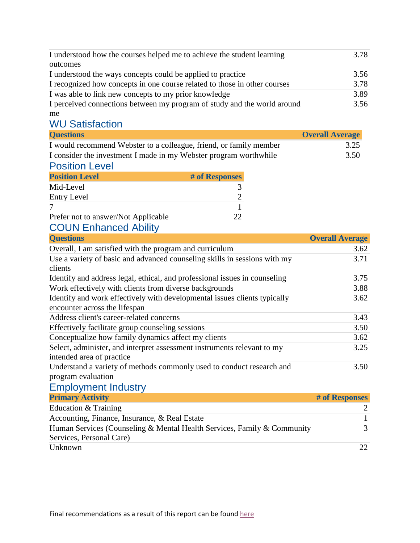| I understood how the courses helped me to achieve the student learning    | 3.78 |
|---------------------------------------------------------------------------|------|
| outcomes                                                                  |      |
| I understood the ways concepts could be applied to practice               | 3.56 |
| I recognized how concepts in one course related to those in other courses | 3.78 |
| I was able to link new concepts to my prior knowledge                     | 3.89 |
| I perceived connections between my program of study and the world around  | 3.56 |
| me                                                                        |      |

## WU Satisfaction

| <b>Questions</b>                                                   | <b>Overall Average</b> |
|--------------------------------------------------------------------|------------------------|
| I would recommend Webster to a colleague, friend, or family member | 3.25                   |
| I consider the investment I made in my Webster program worthwhile  | 3.50                   |

### Position Level

| <b>Position Level</b>               | # of Responses |
|-------------------------------------|----------------|
| Mid-Level                           |                |
| Entry Level                         |                |
|                                     |                |
| Prefer not to answer/Not Applicable |                |

## COUN Enhanced Ability

| <b>Questions</b>                                                                                           | <b>Overall Average</b> |
|------------------------------------------------------------------------------------------------------------|------------------------|
| Overall, I am satisfied with the program and curriculum                                                    | 3.62                   |
| Use a variety of basic and advanced counseling skills in sessions with my<br>clients                       | 3.71                   |
| Identify and address legal, ethical, and professional issues in counseling                                 | 3.75                   |
| Work effectively with clients from diverse backgrounds                                                     | 3.88                   |
| Identify and work effectively with developmental issues clients typically<br>encounter across the lifespan | 3.62                   |
| Address client's career-related concerns                                                                   | 3.43                   |
| Effectively facilitate group counseling sessions                                                           | 3.50                   |
| Conceptualize how family dynamics affect my clients                                                        | 3.62                   |
| Select, administer, and interpret assessment instruments relevant to my<br>intended area of practice       | 3.25                   |
| Understand a variety of methods commonly used to conduct research and<br>program evaluation                | 3.50                   |

## Employment Industry

| <b>Primary Activity</b>                                                                             | # of Responses |
|-----------------------------------------------------------------------------------------------------|----------------|
| Education & Training                                                                                |                |
| Accounting, Finance, Insurance, & Real Estate                                                       |                |
| Human Services (Counseling & Mental Health Services, Family & Community<br>Services, Personal Care) |                |
| Unknown                                                                                             | フフ             |